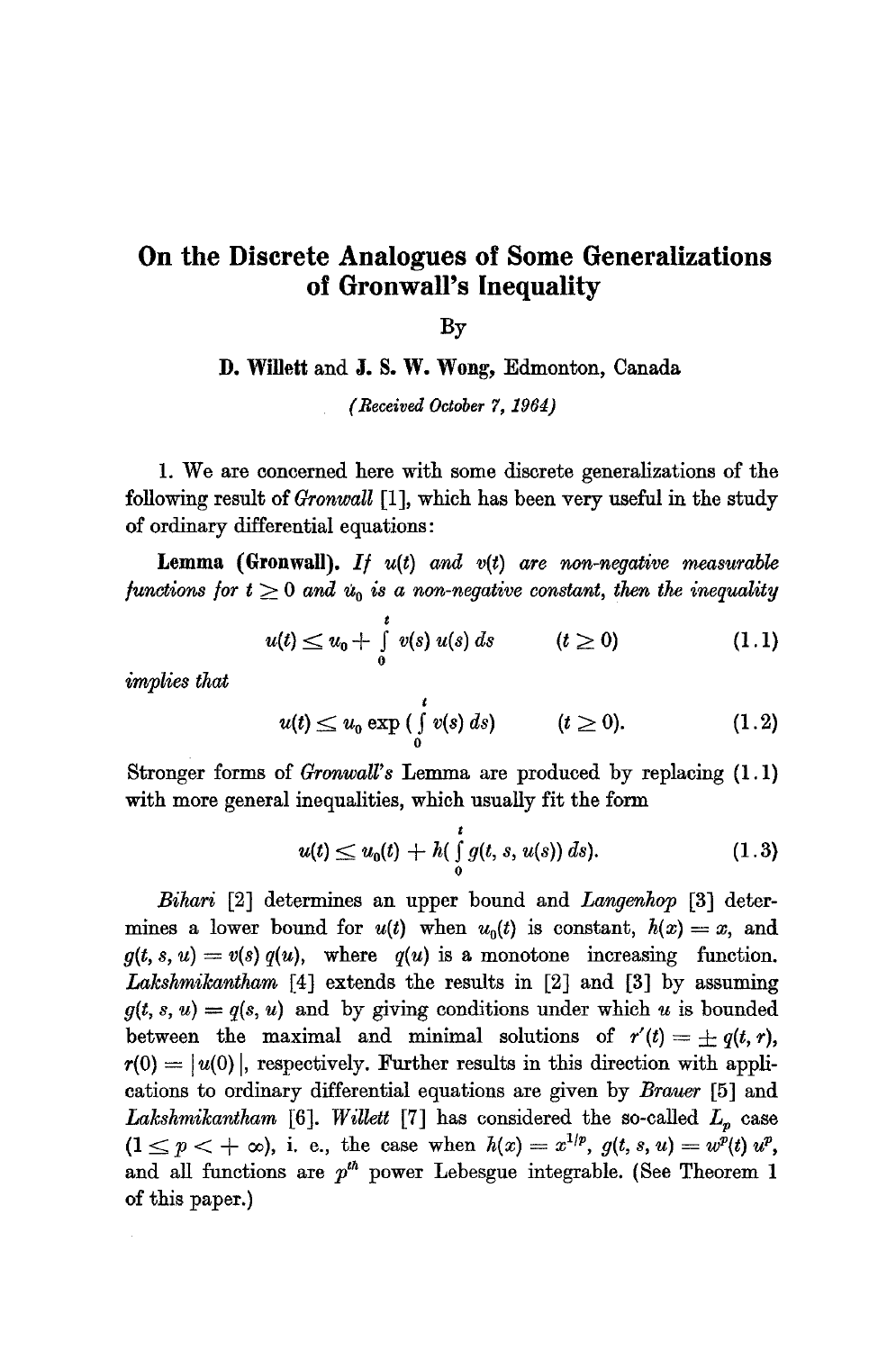## **On the Discrete Analogues of Some Generalizations of Gronwall's Inequality**

By

**D. Willett and J.** S. W. Wong, Edmonton, Canada

*(Received October 7, 1964)* 

1. We are concerned here with some discrete generalizations of the following result of *GronwaU* [1], which has been very useful in the study of ordinary differential equations:

**Lemma (Gronwall).** *I/ u(t) and v(t) are non-negative measurable*  functions for  $t \geq 0$  and  $u_0$  is a non-negative constant, then the inequality

$$
u(t) \le u_0 + \int_0^t v(s) \, u(s) \, ds \qquad (t \ge 0) \tag{1.1}
$$

*implies that* 

$$
u(t) \leq u_0 \exp\left(\int\limits_0^t v(s) \, ds\right) \qquad (t \geq 0). \qquad (1.2)
$$

Stronger forms of *GronwaU's* Lemma are produced by replacing (1.1) with more general inequalities, which usually fit the form

$$
u(t) \le u_0(t) + h(\int_0^t g(t, s, u(s)) ds).
$$
 (1.3)

*Bihari* [2] determines an upper bound and *Langenhop* [3] determines a lower bound for  $u(t)$  when  $u_0(t)$  is constant,  $h(x) = x$ , and  $g(t, s, u) = v(s) q(u)$ , where  $q(u)$  is a monotone increasing function. *Lakshmikantham* [4] extends the results in [2] and [3] by assuming  $g(t, s, u) = q(s, u)$  and by giving conditions under which u is bounded between the maximal and minimal solutions of  $r'(t) = \pm q(t, r)$ ,  $r(0) = |u(0)|$ , respectively. Further results in this direction with applications to ordinary differential equations are given by *Braver* [5] and *Lakshmikantham* [6]. *Willett* [7] has considered the so-called  $L_n$  case  $(1 \leq p < +\infty)$ , i. e., the case when  $h(x) = x^{1/p}$ ,  $g(t, s, u) = w^p(t) w^p$ , and all functions are  $p^{\text{th}}$  power Lebesgue integrable. (See Theorem 1 of this paper.)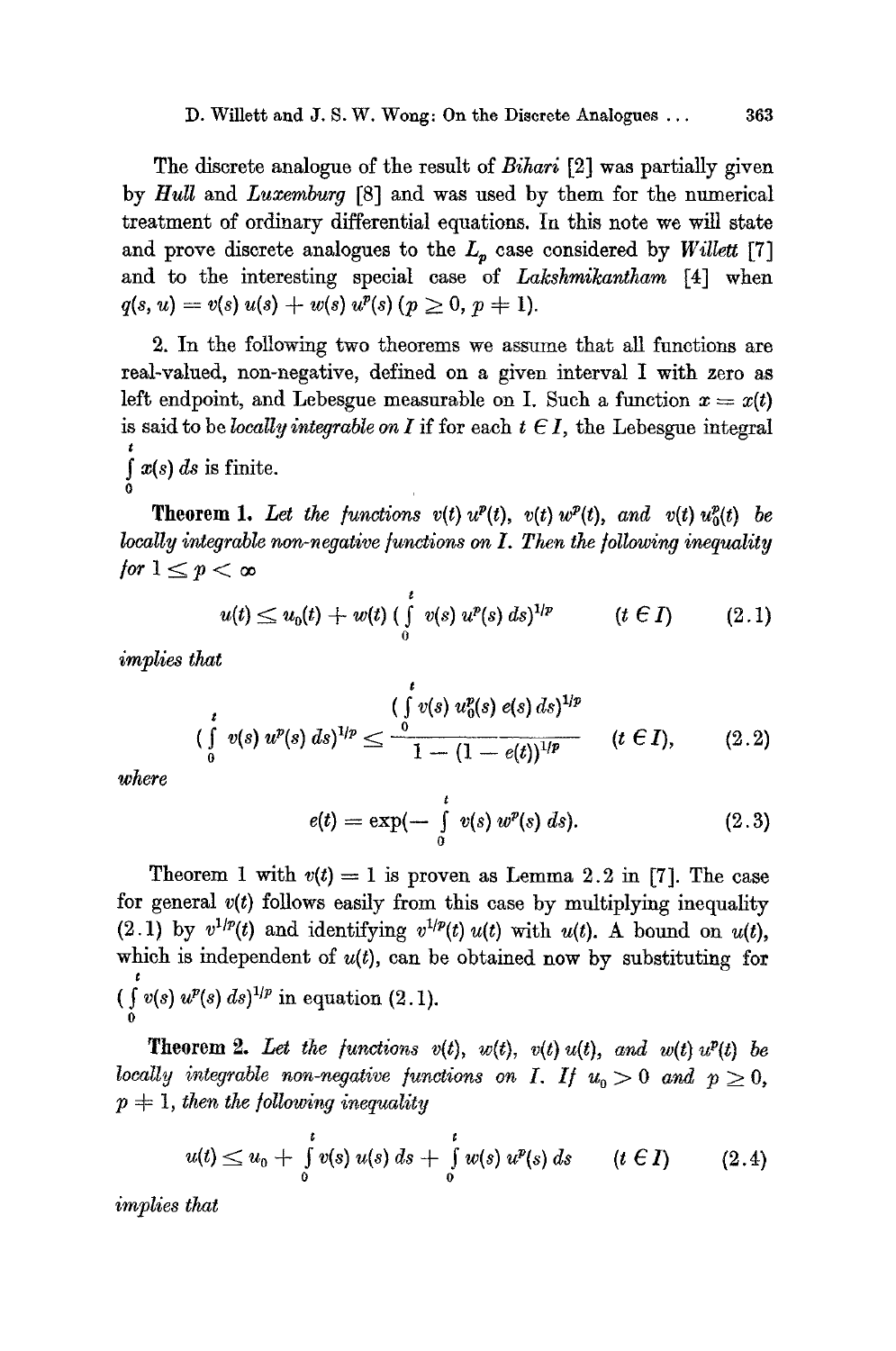The discrete analogue of the result of *Bihari* [2] was partially given by *Hull* and *Luxemburg* [8] and was used by them for the numerical treatment of ordinary differential equations. In this note we will state and prove discrete analogues to the  $L_p$  case considered by *Willett* [7] and to the interesting special case of *Lakshmikantham* [4] when  $q(s, u) = v(s) u(s) + w(s) u^p(s)$   $(p \geq 0, p \neq 1)$ .

2. In the following two theorems we assume that all functions are real-valued, non-negative, defined on a given interval I with zero as left endpoint, and Lebesgue measurable on I. Such a function  $x = x(t)$ is said to be *locally integrable on I* if for each  $t \in I$ , the Lebesgue integral f  $x(s) ds$  is finite.

**Theorem 1.** Let the functions  $v(t)$   $u^p(t)$ ,  $v(t)$   $w^p(t)$ , and  $v(t)$   $u_0^p(t)$  be *locally integrable non-negative functions on I. Then the following inequality for*  $1 \leq p < \infty$ 

$$
u(t) \le u_0(t) + w(t) \left( \int_0^t v(s) \ u^p(s) \ ds \right)^{1/p} \qquad (t \in I) \qquad (2.1)
$$

*implies that* 

$$
(\int_{0}^{t} v(s) u^{p}(s) ds)^{1/p} \leq \frac{(\int_{0}^{t} v(s) u_{0}^{p}(s) e(s) ds)^{1/p}}{1 - (1 - e(t))^{1/p}} \qquad (t \in I), \qquad (2.2)
$$

*whe~'e* 

**0** 

$$
e(t) = \exp(-\int_{0}^{t} v(s) w^{p}(s) ds).
$$
 (2.3)

Theorem 1 with  $v(t) = 1$  is proven as Lemma 2.2 in [7]. The case for general *v(t)* follows easily from this case by multiplying inequality (2.1) by  $v^{1/p}(t)$  and identifying  $v^{1/p}(t)u(t)$  with  $u(t)$ . A bound on  $u(t)$ , which is independent of  $u(t)$ , can be obtained now by substituting for  $\int_0^t v(s) u^p(s) ds$ <sup>1/p</sup> in equation (2.1). 0

**Theorem 2.** Let the functions  $v(t)$ ,  $w(t)$ ,  $v(t)$   $u(t)$ , and  $w(t)$   $u^p(t)$  be *locally integrable non-negative functions on I. If*  $u_0 > 0$  *and*  $p \geq 0$ ,  $p + 1$ *, then the following inequality* 

$$
u(t) \le u_0 + \int_0^t v(s) \ u(s) \ ds + \int_0^t w(s) \ u^p(s) \ ds \qquad (t \in I) \qquad (2.4)
$$

*implies that*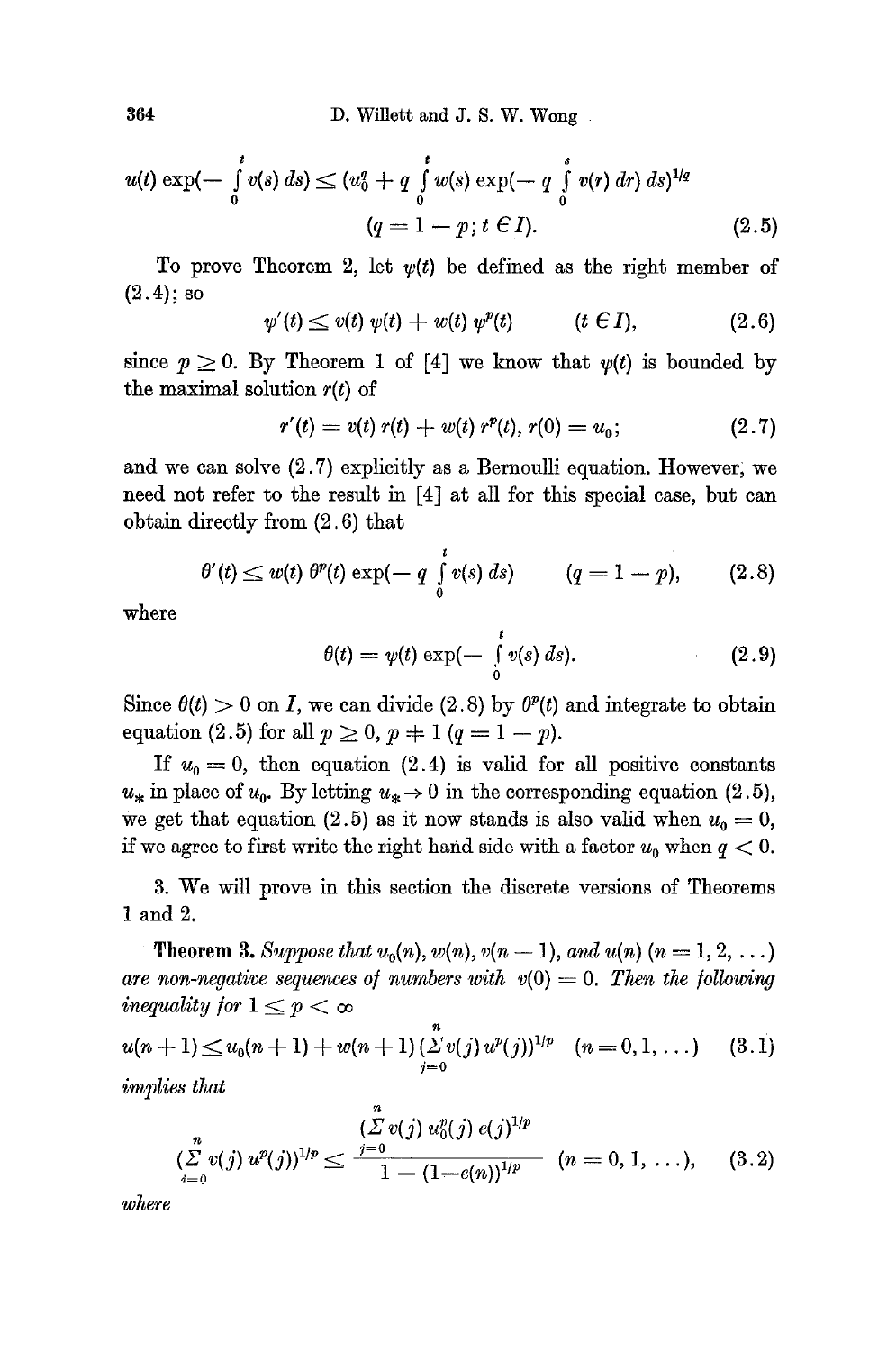$$
u(t) \exp(-\int_{0}^{t} v(s) ds) \le (u_0^q + q \int_{0}^{t} w(s) \exp(-q \int_{0}^{s} v(r) dr) ds)^{1/q}
$$
  
(q = 1 - p; t \in I). (2.5)

To prove Theorem 2, let  $v(t)$  be defined as the right member of  $(2.4)$ ; so

$$
\psi'(t) \leq v(t) \psi(t) + w(t) \psi''(t) \qquad (t \in I), \qquad (2.6)
$$

since  $p \geq 0$ . By Theorem 1 of [4] we know that  $\psi(t)$  is bounded by the maximal solution *r(t)* of

$$
r'(t) = v(t) r(t) + w(t) r^{p}(t), r(0) = u_0;
$$
\n(2.7)

and we can solve  $(2.7)$  explicitly as a Bernoulli equation. However, we need not refer to the result in [4] at all for this special case, but can obtain directly from (2.6) that

$$
\theta'(t) \leq w(t) \; \theta^p(t) \exp(-q \int_0^t v(s) \; ds) \qquad (q = 1 - p), \qquad (2.8)
$$

where

$$
\theta(t) = \psi(t) \exp(-\int_{0}^{t} v(s) \, ds). \tag{2.9}
$$

Since  $\theta(t) > 0$  on I, we can divide (2.8) by  $\theta^p(t)$  and integrate to obtain equation (2.5) for all  $p \ge 0$ ,  $p \ne 1$  ( $q = 1 - p$ ).

If  $u_0 = 0$ , then equation (2.4) is valid for all positive constants  $u_*$  in place of  $u_0$ . By letting  $u_* \to 0$  in the corresponding equation (2.5), we get that equation (2.5) as it now stands is also valid when  $u_0 = 0$ , if we agree to first write the right hand side with a factor  $u_0$  when  $q < 0$ .

3. We will prove in this section the discrete versions of Theorems 1 and 2.

**Theorem 3.** Suppose that  $u_0(n)$ ,  $w(n)$ ,  $v(n-1)$ , and  $u(n)$   $(n = 1, 2, ...)$ are non-negative sequences of numbers with  $v(0) = 0$ . Then the following *inequality for*  $1 \leq p < \infty$ 

$$
u(n+1) \le u_0(n+1) + w(n+1) \sum_{j=0}^{n} v(j) u^p(j)^{1/p} \quad (n=0,1,\ldots)
$$
 (3.1)  
implies that

$$
\sum_{i=0}^n v(j) u^p(j) \big)^{1/p} \leq \frac{\left(\sum_{j=0}^n v(j) u_0^p(j) e(j)\right)^{1/p}}{1 - (1 - e(n))^{1/p}} \quad (n = 0, 1, \ldots), \quad (3.2)
$$

*where*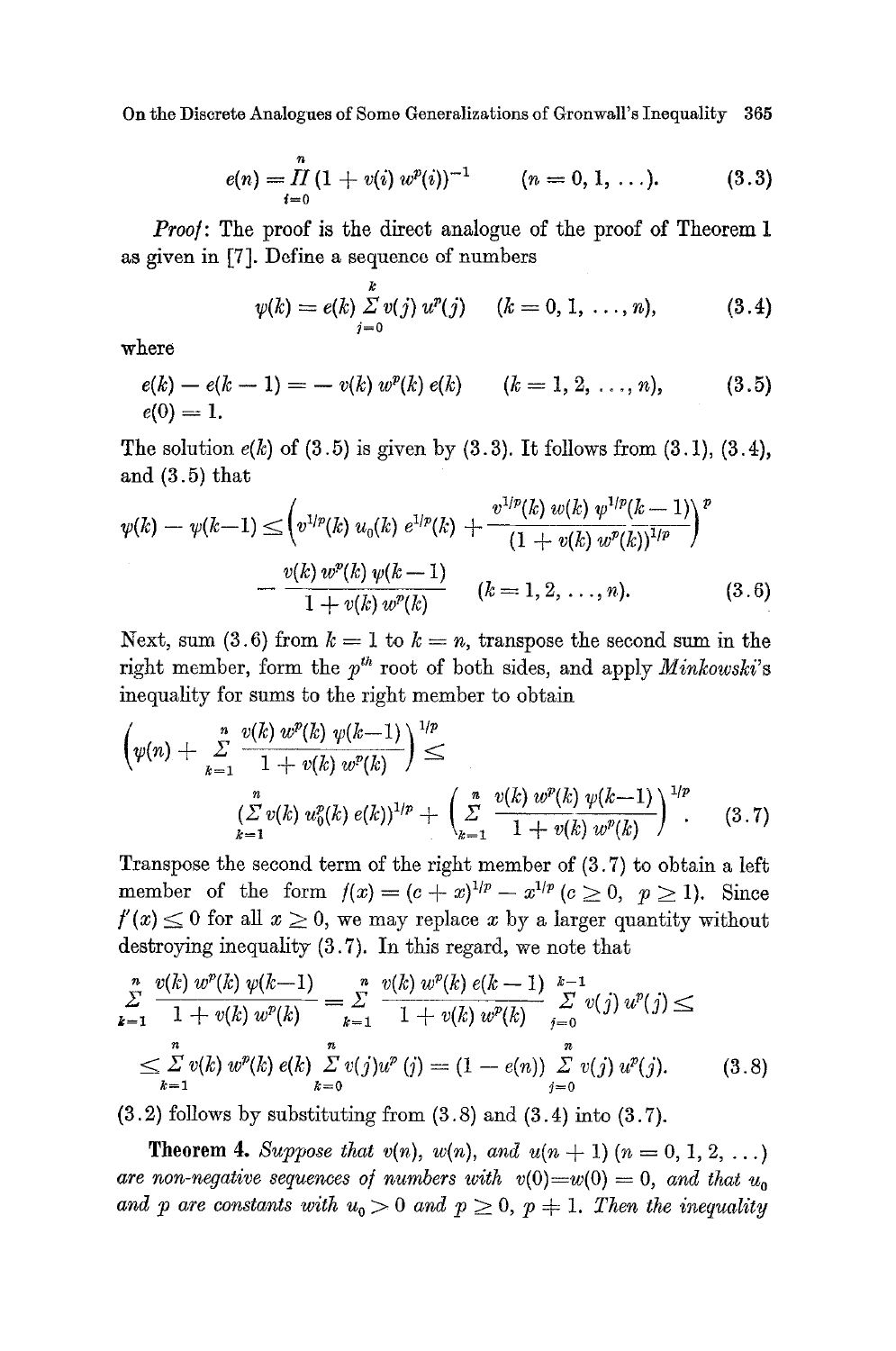On the Discrete Analogues of Some Generalizations of Gronwall's Inequality 365

$$
e(n) = \prod_{i=0}^{n} (1 + v(i) w^{p}(i))^{-1} \qquad (n = 0, 1, ...).
$$
 (3.3)

*Proof:* The proof is the direct analogue of the proof of Theorem 1 as given in [7]. Define a sequence of numbers

$$
\psi(k) = e(k) \sum_{j=0}^{k} v(j) u^{p}(j) \quad (k = 0, 1, ..., n), \quad (3.4)
$$

where

$$
e(k) - e(k-1) = -v(k) wp(k) e(k) \qquad (k = 1, 2, ..., n), \qquad (3.5)
$$
  

$$
e(0) = 1.
$$

The solution  $e(k)$  of (3.5) is given by (3.3). It follows from (3.1), (3.4), and (3.5) that

$$
\psi(k) - \psi(k-1) \leq \left(v^{1/p}(k) u_0(k) e^{1/p}(k) + \frac{v^{1/p}(k) w(k) \psi^{1/p}(k-1)}{(1 + v(k) w^p(k))^{1/p}}\right)^p - \frac{v(k) w^p(k) \psi(k-1)}{1 + v(k) w^p(k)} \qquad (k = 1, 2, ..., n).
$$
\n(3.6)

Next, sum (3.6) from  $k = 1$  to  $k = n$ , transpose the second sum in the right member, form the  $p^{th}$  root of both sides, and apply *Minkowski's* inequality for sums to the right member to obtain

$$
\left(\psi(n) + \sum_{k=1}^{n} \frac{v(k) w^{p}(k) \psi(k-1)}{1 + v(k) w^{p}(k)}\right)^{1/p} \le \left(\sum_{k=1}^{n} v(k) u_{0}^{p}(k) e(k)\right)^{1/p} + \left(\sum_{k=1}^{n} \frac{v(k) w^{p}(k) \psi(k-1)}{1 + v(k) w^{p}(k)}\right)^{1/p}.
$$
 (3.7)

Transpose the second term of the right member of (3.7) to obtain a left member of the form  $f(x)=(c+x)^{1/p}-x^{1/p}$  ( $c\geq0, p\geq1$ ). Since  $f'(x) \leq 0$  for all  $x \geq 0$ , we may replace x by a larger quantity without destroying inequality (3.7). In this regard, we note that

$$
\sum_{k=1}^{n} \frac{v(k) w^{p}(k) w(k-1)}{1 + v(k) w^{p}(k)} = \sum_{k=1}^{n} \frac{v(k) w^{p}(k) e(k-1)}{1 + v(k) w^{p}(k)} \sum_{j=0}^{k-1} v(j) w^{p}(j) \le
$$
\n
$$
\leq \sum_{k=1}^{n} v(k) w^{p}(k) e(k) \sum_{k=0}^{n} v(j) w^{p}(j) = (1 - e(n)) \sum_{j=0}^{n} v(j) w^{p}(j). \tag{3.8}
$$

 $(3.2)$  follows by substituting from  $(3.8)$  and  $(3.4)$  into  $(3.7)$ .

**Theorem 4.** Suppose that  $v(n)$ ,  $w(n)$ , and  $u(n + 1)$   $(n = 0, 1, 2, ...)$ are non-negative sequences of numbers with  $v(0)=w(0) = 0$ , and that  $u_0$ and p are constants with  $u_0 > 0$  and  $p \geq 0$ ,  $p \neq 1$ . Then the inequality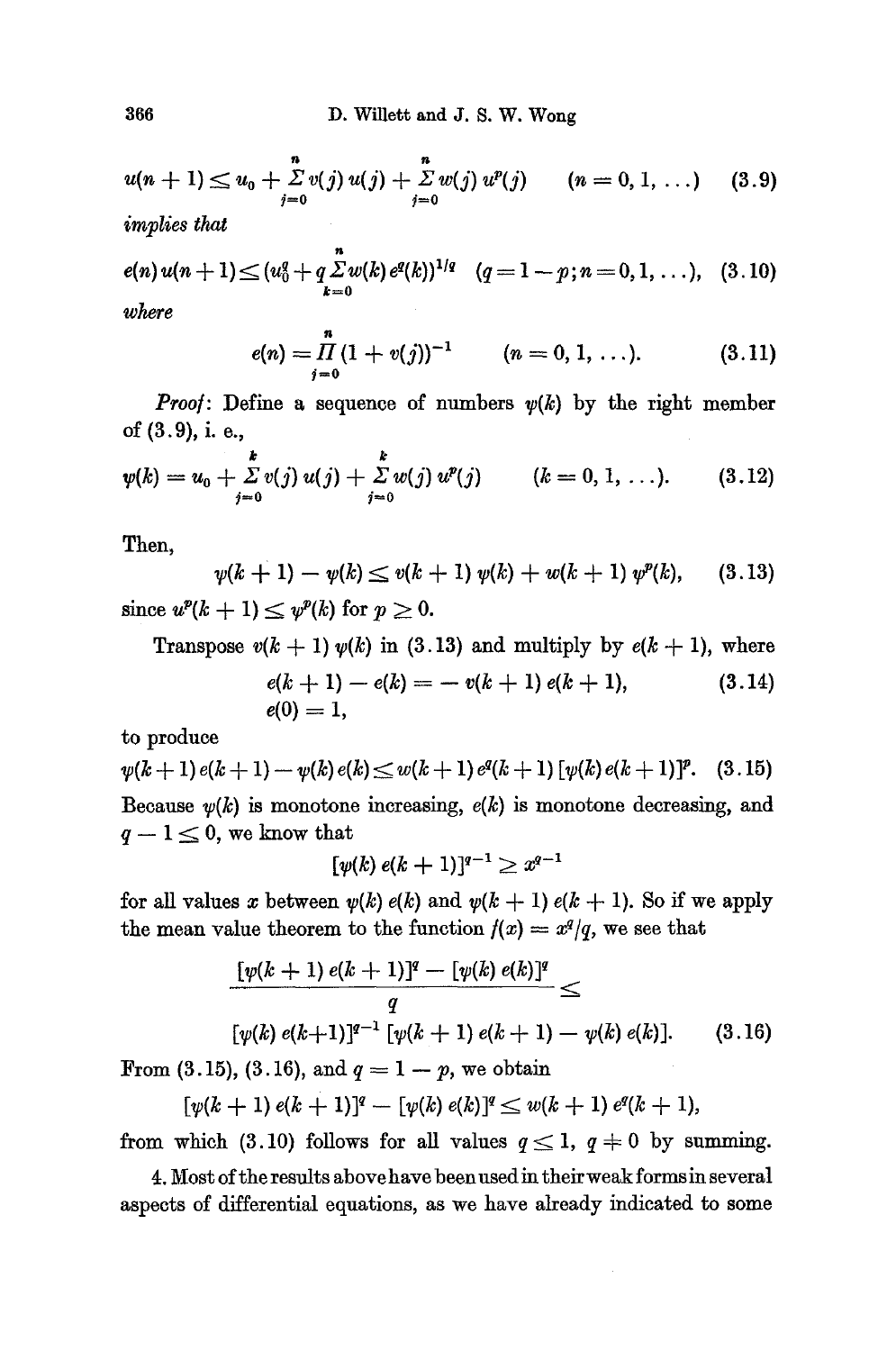$$
u(n + 1) \le u_0 + \sum_{j=0}^{n} v(j) u(j) + \sum_{j=0}^{n} w(j) u^{p}(j) \qquad (n = 0, 1, ...)
$$
 (3.9)

*implies that* 

$$
e(n) u(n+1) \leq (u_0^n + q \sum_{k=0}^n w(k) e^q(k))^{1/q} \quad (q = 1 - p; n = 0, 1, ...), \quad (3.10)
$$
  
where

*where* 

$$
e(n) = \prod_{j=0}^{n} (1 + v(j))^{-1} \qquad (n = 0, 1, \ldots).
$$
 (3.11)

*Proof:* Define a sequence of numbers  $\psi(k)$  by the right member of (3.9), i. e.,

$$
\psi(k) = u_0 + \sum_{j=0}^{k} v(j) u(j) + \sum_{j=0}^{k} w(j) u^p(j) \qquad (k = 0, 1, ...).
$$
 (3.12)

Then,

$$
\psi(k+1) - \psi(k) \le v(k+1) \psi(k) + w(k+1) \psi^{p}(k), \quad (3.13)
$$

since  $u^p(k+1) \leq v^p(k)$  for  $p \geq 0$ .

Transpose  $v(k + 1)$   $v(k)$  in (3.13) and multiply by  $e(k + 1)$ , where  $e(k + 1) - e(k) = -v(k + 1) e(k + 1),$  (3.14)  $e(0) = 1$ ,

to produce

$$
\psi(k+1) e(k+1) - \psi(k) e(k) \leq w(k+1) e^q(k+1) [\psi(k) e(k+1)]^p
$$
. (3.15)  
\nBecause  $\psi(k)$  is monotone increasing,  $e(k)$  is monotone decreasing, and  $q-1 \leq 0$ , we know that

$$
[\psi(k) e(k+1)]^{q-1} \geq x^{q-1}
$$

for all values x between  $\psi(k)$  e(k) and  $\psi(k + 1)$  e(k + 1). So if we apply the mean value theorem to the function  $f(x) = x^q/q$ , we see that

$$
\frac{\left[\psi(k+1)\,e(k+1)\right]^q - \left[\psi(k)\,e(k)\right]^q}{q} \leq
$$
\n
$$
\left[\psi(k)\,e(k+1)\right]^{q-1}\left[\psi(k+1)\,e(k+1) - \psi(k)\,e(k)\right].\tag{3.16}
$$

From (3.15), (3.16), and  $q = 1 - p$ , we obtain

$$
[\psi(k+1) e(k+1)]^{q} - [\psi(k) e(k)]^{q} \leq w(k+1) e^{q}(k+1),
$$

from which (3.10) follows for all values  $q \leq 1$ ,  $q \neq 0$  by summing.

4. Most of the results above have been used in their weak forms in several aspects of differential equations, as we have already indicated to some